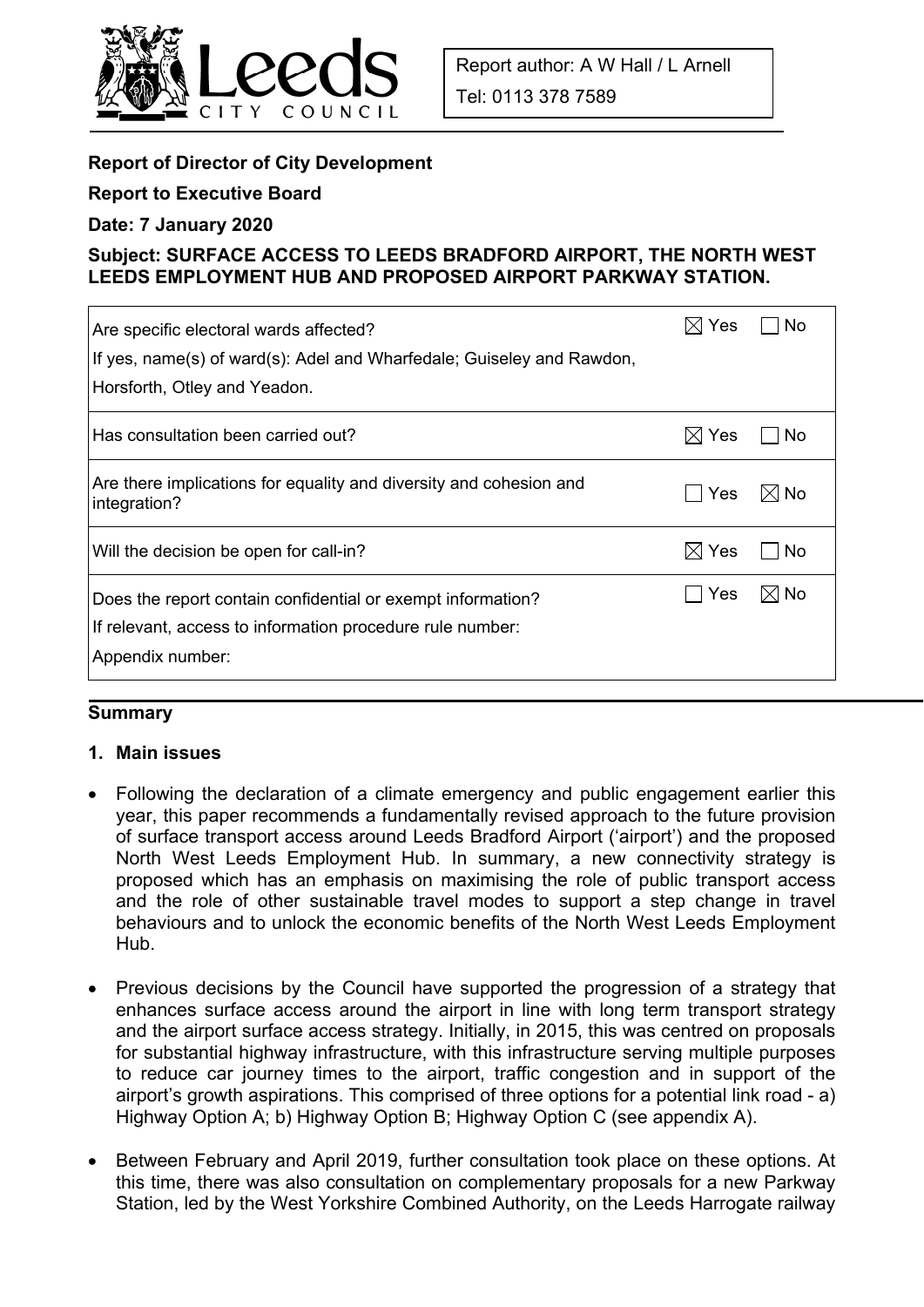

# **Report of Director of City Development**

### **Report to Executive Board**

#### **Date: 7 January 2020**

## **Subject: SURFACE ACCESS TO LEEDS BRADFORD AIRPORT, THE NORTH WEST LEEDS EMPLOYMENT HUB AND PROPOSED AIRPORT PARKWAY STATION.**

| Are specific electoral wards affected?<br>If yes, name(s) of ward(s): Adel and Wharfedale; Guiseley and Rawdon,                              | $\boxtimes$ l Yes | No             |
|----------------------------------------------------------------------------------------------------------------------------------------------|-------------------|----------------|
| Horsforth, Otley and Yeadon.                                                                                                                 |                   |                |
| Has consultation been carried out?                                                                                                           | $\boxtimes$ Yes   | No             |
| Are there implications for equality and diversity and cohesion and<br>integration?                                                           | ∣ Yes             | $\boxtimes$ No |
| Will the decision be open for call-in?                                                                                                       | $\boxtimes$ Yes   | No.            |
| Does the report contain confidential or exempt information?<br>If relevant, access to information procedure rule number:<br>Appendix number: | l Yes             | $\boxtimes$ No |

## **Summary**

### **1. Main issues**

- Following the declaration of a climate emergency and public engagement earlier this year, this paper recommends a fundamentally revised approach to the future provision of surface transport access around Leeds Bradford Airport ('airport') and the proposed North West Leeds Employment Hub. In summary, a new connectivity strategy is proposed which has an emphasis on maximising the role of public transport access and the role of other sustainable travel modes to support a step change in travel behaviours and to unlock the economic benefits of the North West Leeds Employment Hub.
- Previous decisions by the Council have supported the progression of a strategy that enhances surface access around the airport in line with long term transport strategy and the airport surface access strategy. Initially, in 2015, this was centred on proposals for substantial highway infrastructure, with this infrastructure serving multiple purposes to reduce car journey times to the airport, traffic congestion and in support of the airport's growth aspirations. This comprised of three options for a potential link road - a) Highway Option A; b) Highway Option B; Highway Option C (see appendix A).
- Between February and April 2019, further consultation took place on these options. At this time, there was also consultation on complementary proposals for a new Parkway Station, led by the West Yorkshire Combined Authority, on the Leeds Harrogate railway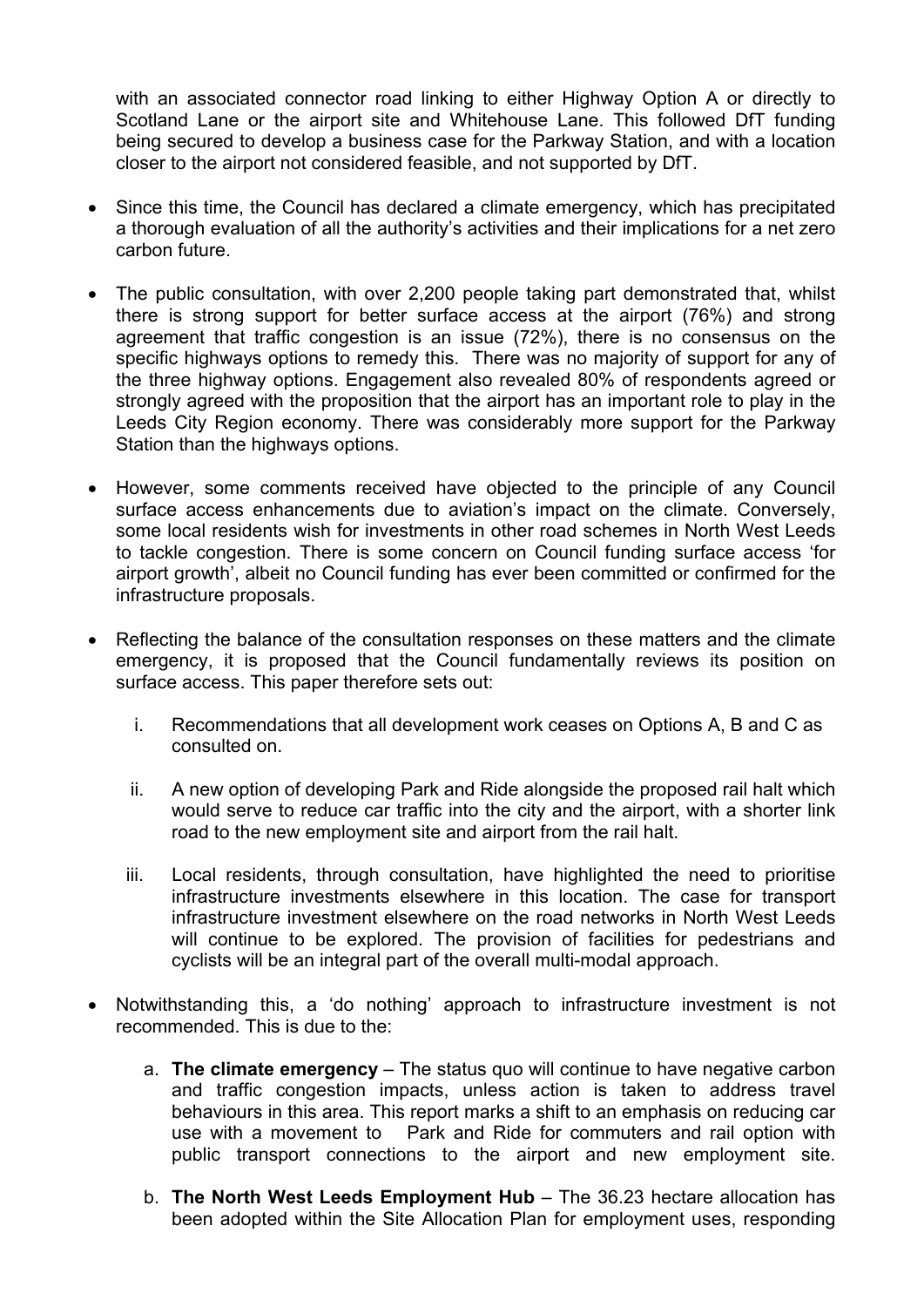with an associated connector road linking to either Highway Option A or directly to Scotland Lane or the airport site and Whitehouse Lane. This followed DfT funding being secured to develop a business case for the Parkway Station, and with a location closer to the airport not considered feasible, and not supported by DfT.

- Since this time, the Council has declared a climate emergency, which has precipitated a thorough evaluation of all the authority's activities and their implications for a net zero carbon future.
- The public consultation, with over 2,200 people taking part demonstrated that, whilst there is strong support for better surface access at the airport (76%) and strong agreement that traffic congestion is an issue (72%), there is no consensus on the specific highways options to remedy this. There was no majority of support for any of the three highway options. Engagement also revealed 80% of respondents agreed or strongly agreed with the proposition that the airport has an important role to play in the Leeds City Region economy. There was considerably more support for the Parkway Station than the highways options.
- However, some comments received have objected to the principle of any Council surface access enhancements due to aviation's impact on the climate. Conversely, some local residents wish for investments in other road schemes in North West Leeds to tackle congestion. There is some concern on Council funding surface access 'for airport growth', albeit no Council funding has ever been committed or confirmed for the infrastructure proposals.
- Reflecting the balance of the consultation responses on these matters and the climate emergency, it is proposed that the Council fundamentally reviews its position on surface access. This paper therefore sets out:
	- i. Recommendations that all development work ceases on Options A, B and C as consulted on.
	- ii. A new option of developing Park and Ride alongside the proposed rail halt which would serve to reduce car traffic into the city and the airport, with a shorter link road to the new employment site and airport from the rail halt.
	- iii. Local residents, through consultation, have highlighted the need to prioritise infrastructure investments elsewhere in this location. The case for transport infrastructure investment elsewhere on the road networks in North West Leeds will continue to be explored. The provision of facilities for pedestrians and cyclists will be an integral part of the overall multi-modal approach.
- Notwithstanding this, a 'do nothing' approach to infrastructure investment is not recommended. This is due to the:
	- a. **The climate emergency** The status quo will continue to have negative carbon and traffic congestion impacts, unless action is taken to address travel behaviours in this area. This report marks a shift to an emphasis on reducing car use with a movement to Park and Ride for commuters and rail option with public transport connections to the airport and new employment site.
	- b. **The North West Leeds Employment Hub** The 36.23 hectare allocation has been adopted within the Site Allocation Plan for employment uses, responding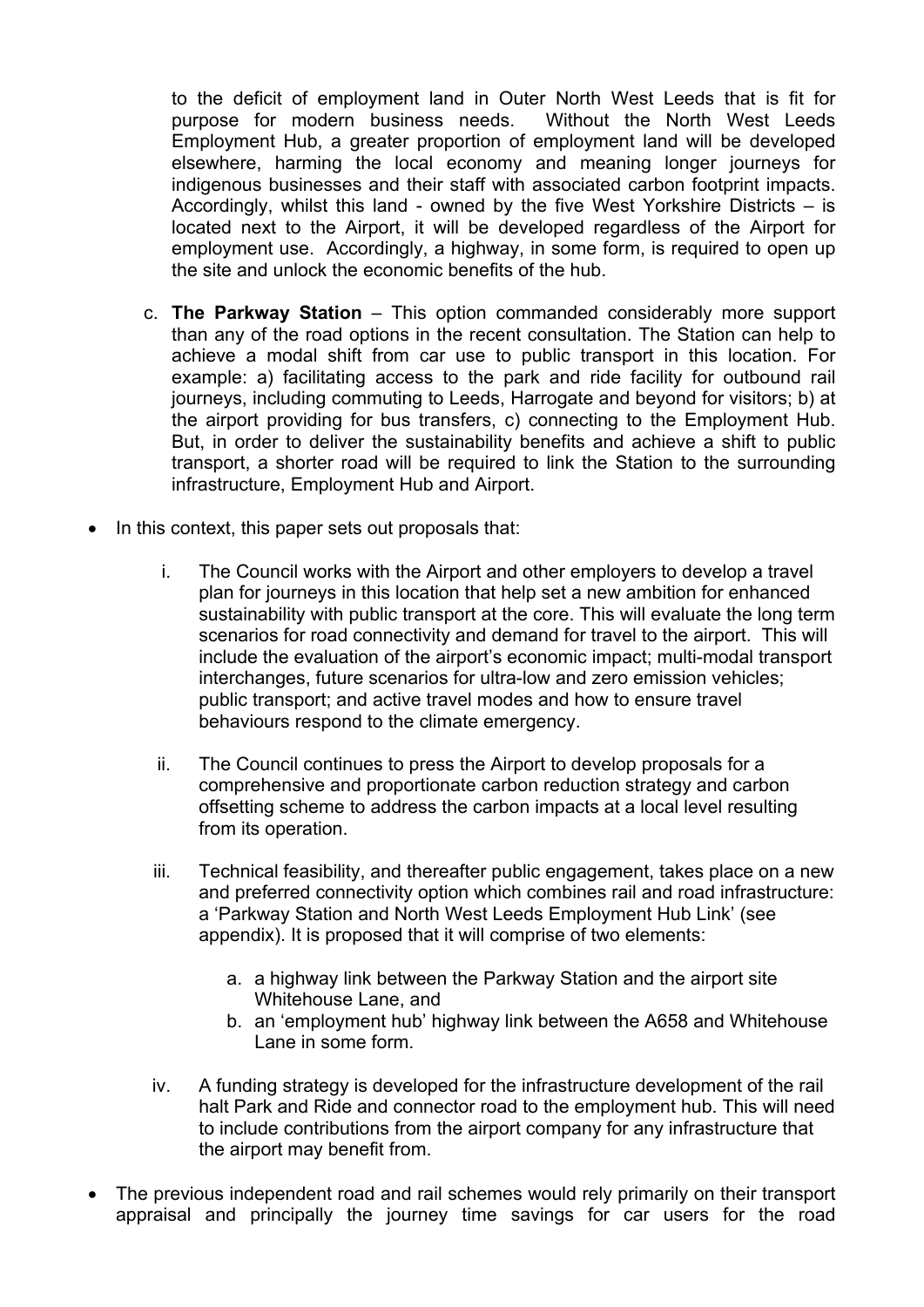to the deficit of employment land in Outer North West Leeds that is fit for purpose for modern business needs. Without the North West Leeds Employment Hub, a greater proportion of employment land will be developed elsewhere, harming the local economy and meaning longer journeys for indigenous businesses and their staff with associated carbon footprint impacts. Accordingly, whilst this land - owned by the five West Yorkshire Districts – is located next to the Airport, it will be developed regardless of the Airport for employment use. Accordingly, a highway, in some form, is required to open up the site and unlock the economic benefits of the hub.

- c. **The Parkway Station** This option commanded considerably more support than any of the road options in the recent consultation. The Station can help to achieve a modal shift from car use to public transport in this location. For example: a) facilitating access to the park and ride facility for outbound rail journeys, including commuting to Leeds, Harrogate and beyond for visitors; b) at the airport providing for bus transfers, c) connecting to the Employment Hub. But, in order to deliver the sustainability benefits and achieve a shift to public transport, a shorter road will be required to link the Station to the surrounding infrastructure, Employment Hub and Airport.
- In this context, this paper sets out proposals that:
	- i. The Council works with the Airport and other employers to develop a travel plan for journeys in this location that help set a new ambition for enhanced sustainability with public transport at the core. This will evaluate the long term scenarios for road connectivity and demand for travel to the airport. This will include the evaluation of the airport's economic impact; multi-modal transport interchanges, future scenarios for ultra-low and zero emission vehicles; public transport; and active travel modes and how to ensure travel behaviours respond to the climate emergency.
	- ii. The Council continues to press the Airport to develop proposals for a comprehensive and proportionate carbon reduction strategy and carbon offsetting scheme to address the carbon impacts at a local level resulting from its operation.
	- iii. Technical feasibility, and thereafter public engagement, takes place on a new and preferred connectivity option which combines rail and road infrastructure: a 'Parkway Station and North West Leeds Employment Hub Link' (see appendix). It is proposed that it will comprise of two elements:
		- a. a highway link between the Parkway Station and the airport site Whitehouse Lane, and
		- b. an 'employment hub' highway link between the A658 and Whitehouse Lane in some form.
	- iv. A funding strategy is developed for the infrastructure development of the rail halt Park and Ride and connector road to the employment hub. This will need to include contributions from the airport company for any infrastructure that the airport may benefit from.
- The previous independent road and rail schemes would rely primarily on their transport appraisal and principally the journey time savings for car users for the road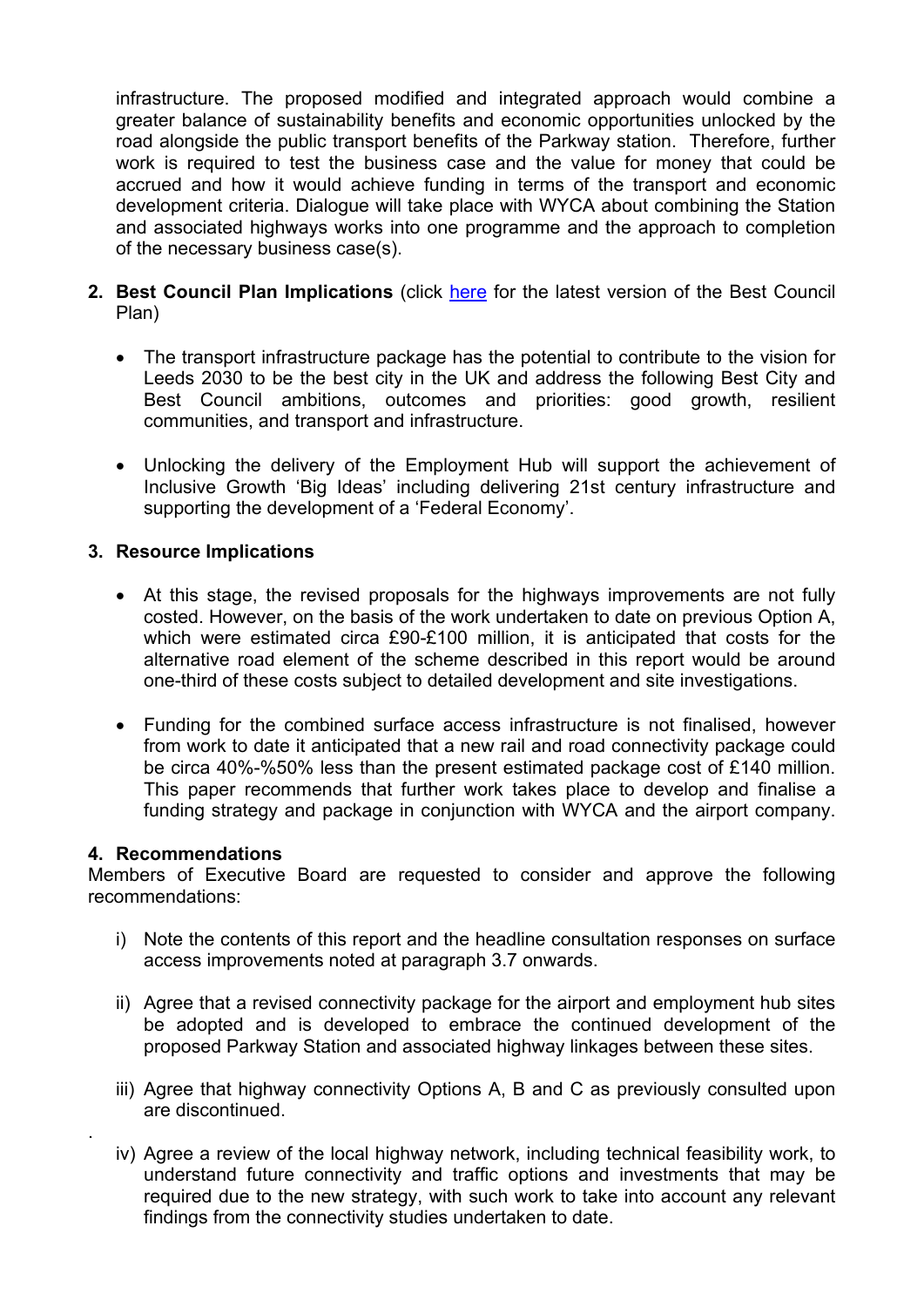infrastructure. The proposed modified and integrated approach would combine a greater balance of sustainability benefits and economic opportunities unlocked by the road alongside the public transport benefits of the Parkway station. Therefore, further work is required to test the business case and the value for money that could be accrued and how it would achieve funding in terms of the transport and economic development criteria. Dialogue will take place with WYCA about combining the Station and associated highways works into one programme and the approach to completion of the necessary business case(s).

- **2. Best Council Plan Implications** (click here for the latest version of the Best Council Plan)
	- The transport infrastructure package has the potential to contribute to the vision for Leeds 2030 to be the best city in the UK and address the following Best City and Best Council ambitions, outcomes and priorities: good growth, resilient communities, and transport and infrastructure.
	- Unlocking the delivery of the Employment Hub will support the achievement of Inclusive Growth 'Big Ideas' including delivering 21st century infrastructure and supporting the development of a 'Federal Economy'.

### **3. Resource Implications**

- At this stage, the revised proposals for the highways improvements are not fully costed. However, on the basis of the work undertaken to date on previous Option A, which were estimated circa £90-£100 million, it is anticipated that costs for the alternative road element of the scheme described in this report would be around one-third of these costs subject to detailed development and site investigations.
- Funding for the combined surface access infrastructure is not finalised, however from work to date it anticipated that a new rail and road connectivity package could be circa 40%-%50% less than the present estimated package cost of £140 million. This paper recommends that further work takes place to develop and finalise a funding strategy and package in conjunction with WYCA and the airport company.

#### **4. Recommendations**

.

Members of Executive Board are requested to consider and approve the following recommendations:

- i) Note the contents of this report and the headline consultation responses on surface access improvements noted at paragraph 3.7 onwards.
- ii) Agree that a revised connectivity package for the airport and employment hub sites be adopted and is developed to embrace the continued development of the proposed Parkway Station and associated highway linkages between these sites.
- iii) Agree that highway connectivity Options A, B and C as previously consulted upon are discontinued.
- iv) Agree a review of the local highway network, including technical feasibility work, to understand future connectivity and traffic options and investments that may be required due to the new strategy, with such work to take into account any relevant findings from the connectivity studies undertaken to date.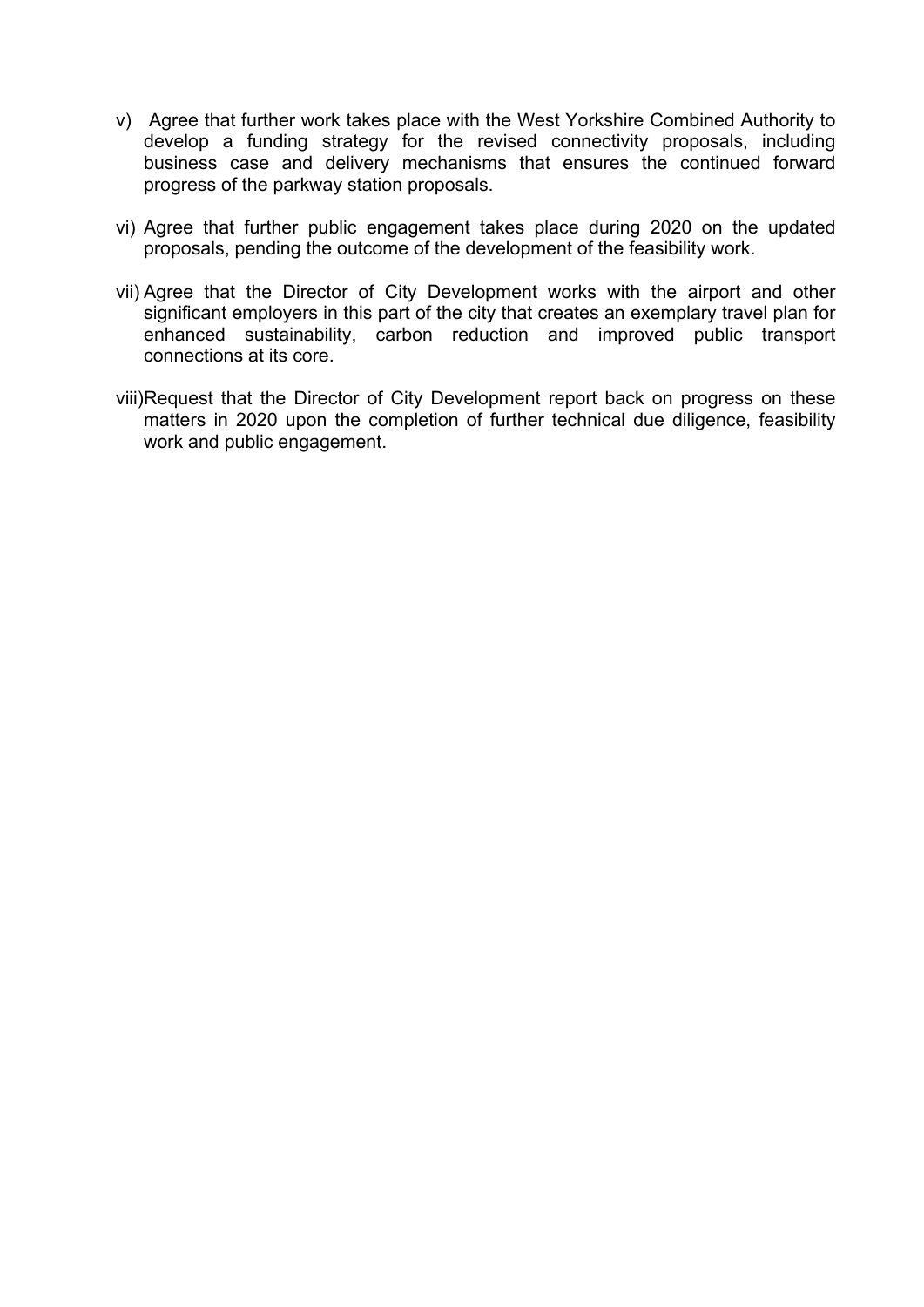- v) Agree that further work takes place with the West Yorkshire Combined Authority to develop a funding strategy for the revised connectivity proposals, including business case and delivery mechanisms that ensures the continued forward progress of the parkway station proposals.
- vi) Agree that further public engagement takes place during 2020 on the updated proposals, pending the outcome of the development of the feasibility work.
- vii) Agree that the Director of City Development works with the airport and other significant employers in this part of the city that creates an exemplary travel plan for enhanced sustainability, carbon reduction and improved public transport connections at its core.
- viii)Request that the Director of City Development report back on progress on these matters in 2020 upon the completion of further technical due diligence, feasibility work and public engagement.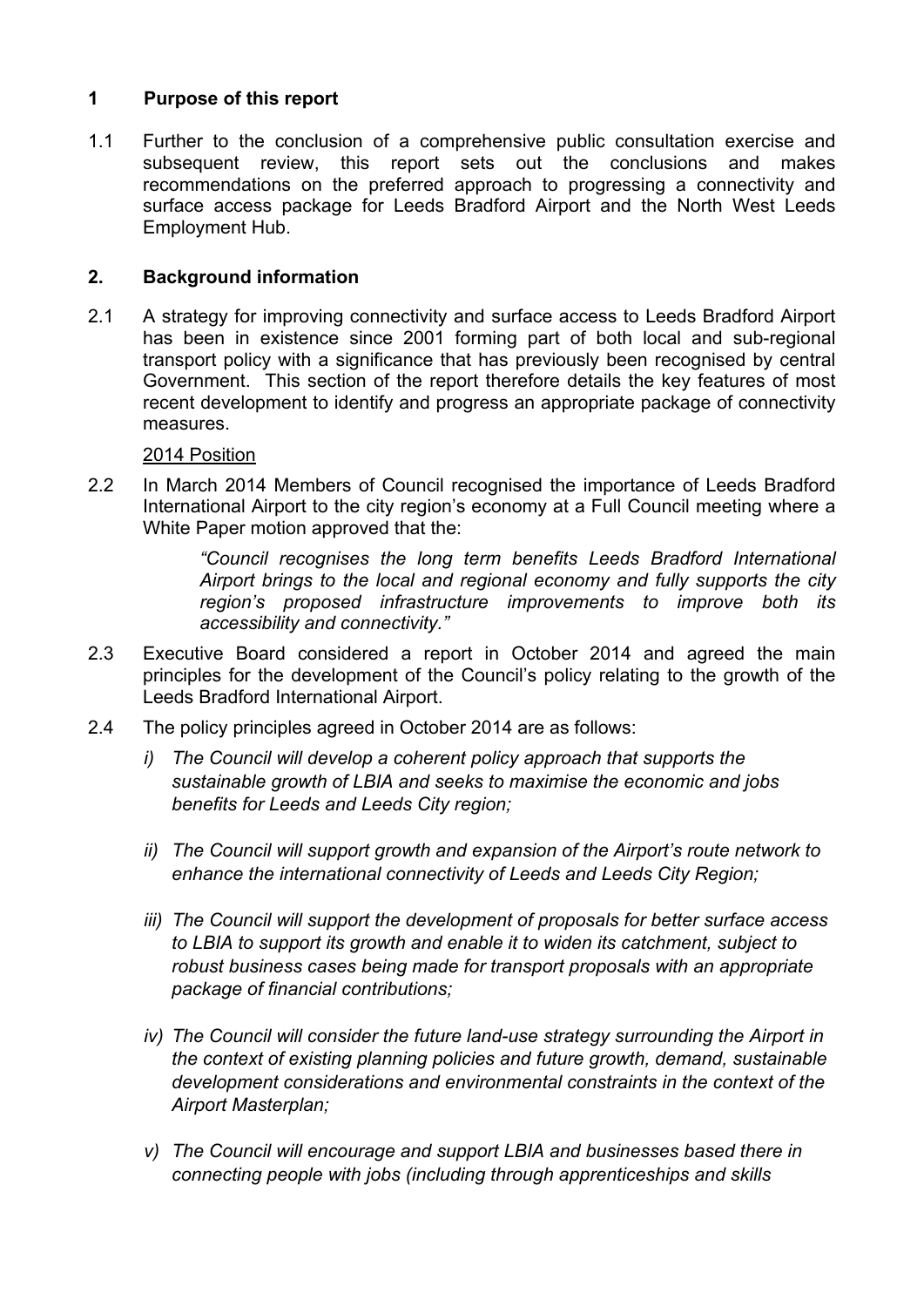## **1 Purpose of this report**

1.1 Further to the conclusion of a comprehensive public consultation exercise and subsequent review, this report sets out the conclusions and makes recommendations on the preferred approach to progressing a connectivity and surface access package for Leeds Bradford Airport and the North West Leeds Employment Hub.

## **2. Background information**

2.1 A strategy for improving connectivity and surface access to Leeds Bradford Airport has been in existence since 2001 forming part of both local and sub-regional transport policy with a significance that has previously been recognised by central Government. This section of the report therefore details the key features of most recent development to identify and progress an appropriate package of connectivity measures.

### 2014 Position

2.2 In March 2014 Members of Council recognised the importance of Leeds Bradford International Airport to the city region's economy at a Full Council meeting where a White Paper motion approved that the:

> *"Council recognises the long term benefits Leeds Bradford International Airport brings to the local and regional economy and fully supports the city region's proposed infrastructure improvements to improve both its accessibility and connectivity."*

- 2.3 Executive Board considered a report in October 2014 and agreed the main principles for the development of the Council's policy relating to the growth of the Leeds Bradford International Airport.
- 2.4 The policy principles agreed in October 2014 are as follows:
	- *i) The Council will develop a coherent policy approach that supports the sustainable growth of LBIA and seeks to maximise the economic and jobs benefits for Leeds and Leeds City region;*
	- *ii) The Council will support growth and expansion of the Airport's route network to enhance the international connectivity of Leeds and Leeds City Region;*
	- *iii) The Council will support the development of proposals for better surface access to LBIA to support its growth and enable it to widen its catchment, subject to robust business cases being made for transport proposals with an appropriate package of financial contributions;*
	- *iv)* The Council will consider the future land-use strategy surrounding the Airport in *the context of existing planning policies and future growth, demand, sustainable development considerations and environmental constraints in the context of the Airport Masterplan;*
	- *v) The Council will encourage and support LBIA and businesses based there in connecting people with jobs (including through apprenticeships and skills*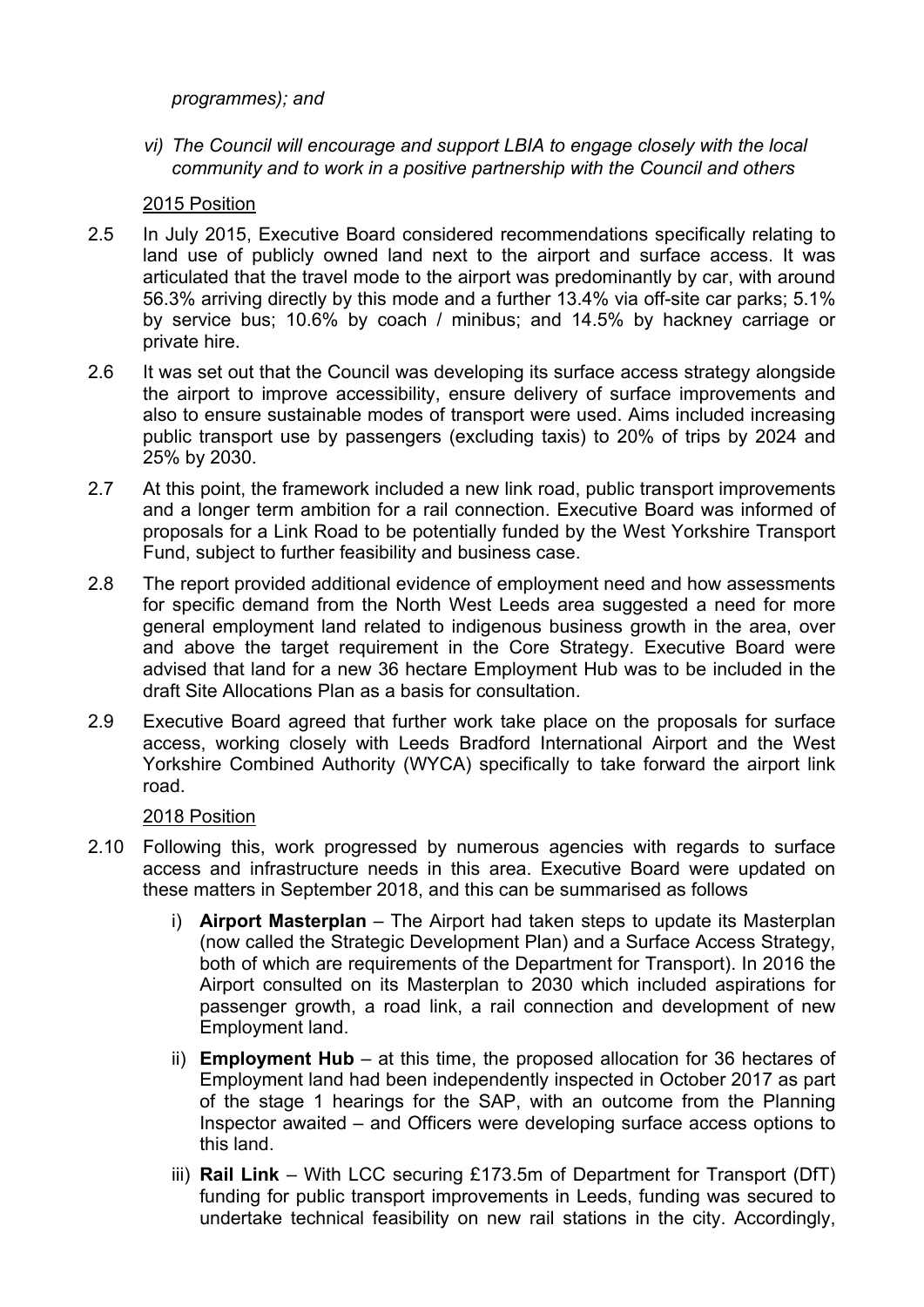*programmes); and* 

*vi) The Council will encourage and support LBIA to engage closely with the local community and to work in a positive partnership with the Council and others* 

# 2015 Position

- 2.5 In July 2015, Executive Board considered recommendations specifically relating to land use of publicly owned land next to the airport and surface access. It was articulated that the travel mode to the airport was predominantly by car, with around 56.3% arriving directly by this mode and a further 13.4% via off-site car parks; 5.1% by service bus; 10.6% by coach / minibus; and 14.5% by hackney carriage or private hire.
- 2.6 It was set out that the Council was developing its surface access strategy alongside the airport to improve accessibility, ensure delivery of surface improvements and also to ensure sustainable modes of transport were used. Aims included increasing public transport use by passengers (excluding taxis) to 20% of trips by 2024 and 25% by 2030.
- 2.7 At this point, the framework included a new link road, public transport improvements and a longer term ambition for a rail connection. Executive Board was informed of proposals for a Link Road to be potentially funded by the West Yorkshire Transport Fund, subject to further feasibility and business case.
- 2.8 The report provided additional evidence of employment need and how assessments for specific demand from the North West Leeds area suggested a need for more general employment land related to indigenous business growth in the area, over and above the target requirement in the Core Strategy. Executive Board were advised that land for a new 36 hectare Employment Hub was to be included in the draft Site Allocations Plan as a basis for consultation.
- 2.9 Executive Board agreed that further work take place on the proposals for surface access, working closely with Leeds Bradford International Airport and the West Yorkshire Combined Authority (WYCA) specifically to take forward the airport link road.

# 2018 Position

- 2.10 Following this, work progressed by numerous agencies with regards to surface access and infrastructure needs in this area. Executive Board were updated on these matters in September 2018, and this can be summarised as follows
	- i) **Airport Masterplan** The Airport had taken steps to update its Masterplan (now called the Strategic Development Plan) and a Surface Access Strategy, both of which are requirements of the Department for Transport). In 2016 the Airport consulted on its Masterplan to 2030 which included aspirations for passenger growth, a road link, a rail connection and development of new Employment land.
	- ii) **Employment Hub** at this time, the proposed allocation for 36 hectares of Employment land had been independently inspected in October 2017 as part of the stage 1 hearings for the SAP, with an outcome from the Planning Inspector awaited – and Officers were developing surface access options to this land.
	- iii) **Rail Link** With LCC securing £173.5m of Department for Transport (DfT) funding for public transport improvements in Leeds, funding was secured to undertake technical feasibility on new rail stations in the city. Accordingly,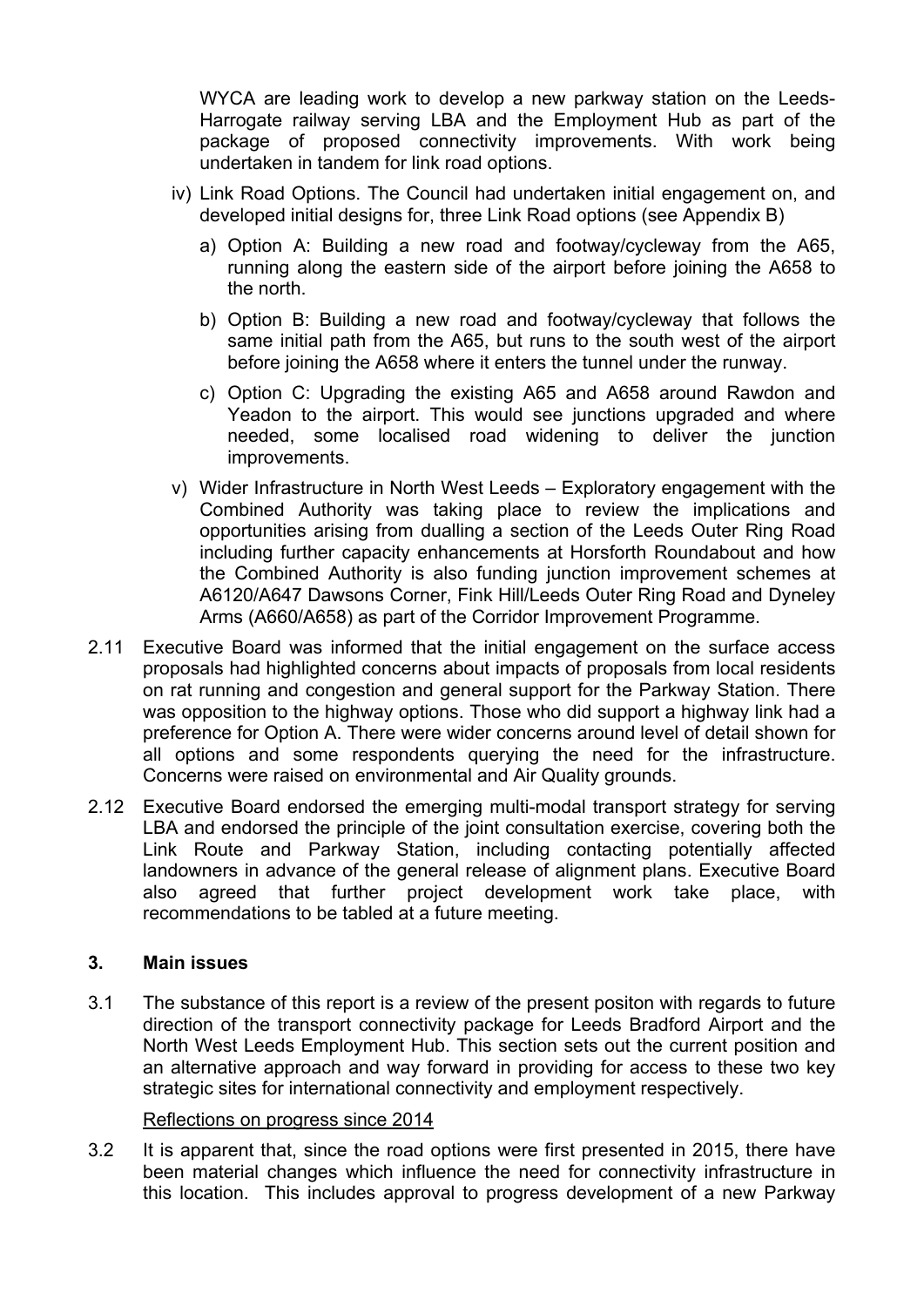WYCA are leading work to develop a new parkway station on the Leeds-Harrogate railway serving LBA and the Employment Hub as part of the package of proposed connectivity improvements. With work being undertaken in tandem for link road options.

- iv) Link Road Options. The Council had undertaken initial engagement on, and developed initial designs for, three Link Road options (see Appendix B)
	- a) Option A: Building a new road and footway/cycleway from the A65, running along the eastern side of the airport before joining the A658 to the north.
	- b) Option B: Building a new road and footway/cycleway that follows the same initial path from the A65, but runs to the south west of the airport before joining the A658 where it enters the tunnel under the runway.
	- c) Option C: Upgrading the existing A65 and A658 around Rawdon and Yeadon to the airport. This would see junctions upgraded and where needed, some localised road widening to deliver the junction improvements.
- v) Wider Infrastructure in North West Leeds Exploratory engagement with the Combined Authority was taking place to review the implications and opportunities arising from dualling a section of the Leeds Outer Ring Road including further capacity enhancements at Horsforth Roundabout and how the Combined Authority is also funding junction improvement schemes at A6120/A647 Dawsons Corner, Fink Hill/Leeds Outer Ring Road and Dyneley Arms (A660/A658) as part of the Corridor Improvement Programme.
- 2.11 Executive Board was informed that the initial engagement on the surface access proposals had highlighted concerns about impacts of proposals from local residents on rat running and congestion and general support for the Parkway Station. There was opposition to the highway options. Those who did support a highway link had a preference for Option A. There were wider concerns around level of detail shown for all options and some respondents querying the need for the infrastructure. Concerns were raised on environmental and Air Quality grounds.
- 2.12 Executive Board endorsed the emerging multi-modal transport strategy for serving LBA and endorsed the principle of the joint consultation exercise, covering both the Link Route and Parkway Station, including contacting potentially affected landowners in advance of the general release of alignment plans. Executive Board also agreed that further project development work take place, with recommendations to be tabled at a future meeting.

### **3. Main issues**

3.1 The substance of this report is a review of the present positon with regards to future direction of the transport connectivity package for Leeds Bradford Airport and the North West Leeds Employment Hub. This section sets out the current position and an alternative approach and way forward in providing for access to these two key strategic sites for international connectivity and employment respectively.

#### Reflections on progress since 2014

3.2 It is apparent that, since the road options were first presented in 2015, there have been material changes which influence the need for connectivity infrastructure in this location. This includes approval to progress development of a new Parkway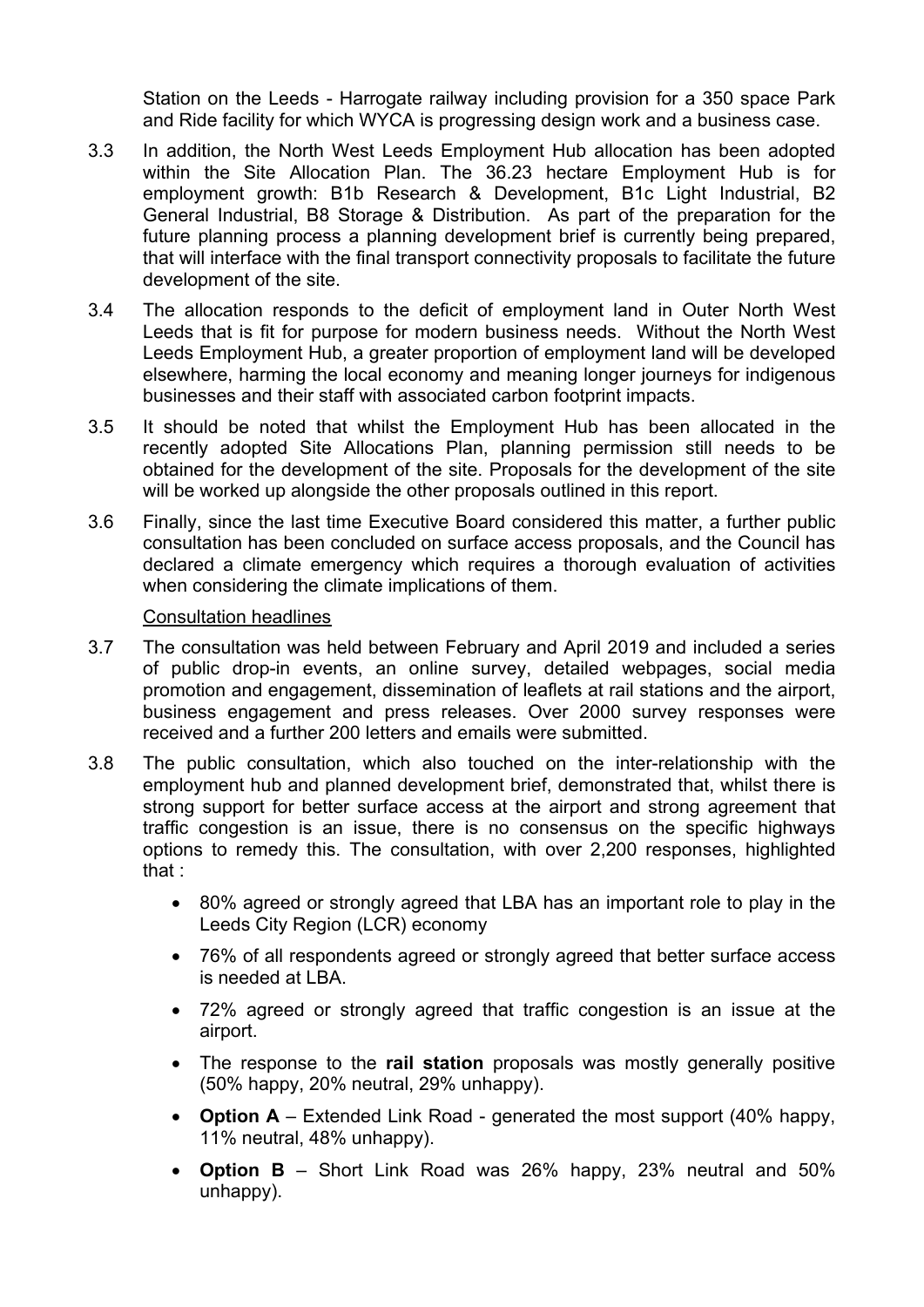Station on the Leeds - Harrogate railway including provision for a 350 space Park and Ride facility for which WYCA is progressing design work and a business case.

- 3.3 In addition, the North West Leeds Employment Hub allocation has been adopted within the Site Allocation Plan. The 36.23 hectare Employment Hub is for employment growth: B1b Research & Development, B1c Light Industrial, B2 General Industrial, B8 Storage & Distribution. As part of the preparation for the future planning process a planning development brief is currently being prepared, that will interface with the final transport connectivity proposals to facilitate the future development of the site.
- 3.4 The allocation responds to the deficit of employment land in Outer North West Leeds that is fit for purpose for modern business needs. Without the North West Leeds Employment Hub, a greater proportion of employment land will be developed elsewhere, harming the local economy and meaning longer journeys for indigenous businesses and their staff with associated carbon footprint impacts.
- 3.5 It should be noted that whilst the Employment Hub has been allocated in the recently adopted Site Allocations Plan, planning permission still needs to be obtained for the development of the site. Proposals for the development of the site will be worked up alongside the other proposals outlined in this report.
- 3.6 Finally, since the last time Executive Board considered this matter, a further public consultation has been concluded on surface access proposals, and the Council has declared a climate emergency which requires a thorough evaluation of activities when considering the climate implications of them.

### Consultation headlines

- 3.7 The consultation was held between February and April 2019 and included a series of public drop-in events, an online survey, detailed webpages, social media promotion and engagement, dissemination of leaflets at rail stations and the airport, business engagement and press releases. Over 2000 survey responses were received and a further 200 letters and emails were submitted.
- 3.8 The public consultation, which also touched on the inter-relationship with the employment hub and planned development brief, demonstrated that, whilst there is strong support for better surface access at the airport and strong agreement that traffic congestion is an issue, there is no consensus on the specific highways options to remedy this. The consultation, with over 2,200 responses, highlighted that :
	- 80% agreed or strongly agreed that LBA has an important role to play in the Leeds City Region (LCR) economy
	- 76% of all respondents agreed or strongly agreed that better surface access is needed at LBA.
	- 72% agreed or strongly agreed that traffic congestion is an issue at the airport.
	- The response to the **rail station** proposals was mostly generally positive (50% happy, 20% neutral, 29% unhappy).
	- **Option A** Extended Link Road generated the most support (40% happy, 11% neutral, 48% unhappy).
	- **Option B** Short Link Road was 26% happy, 23% neutral and 50% unhappy).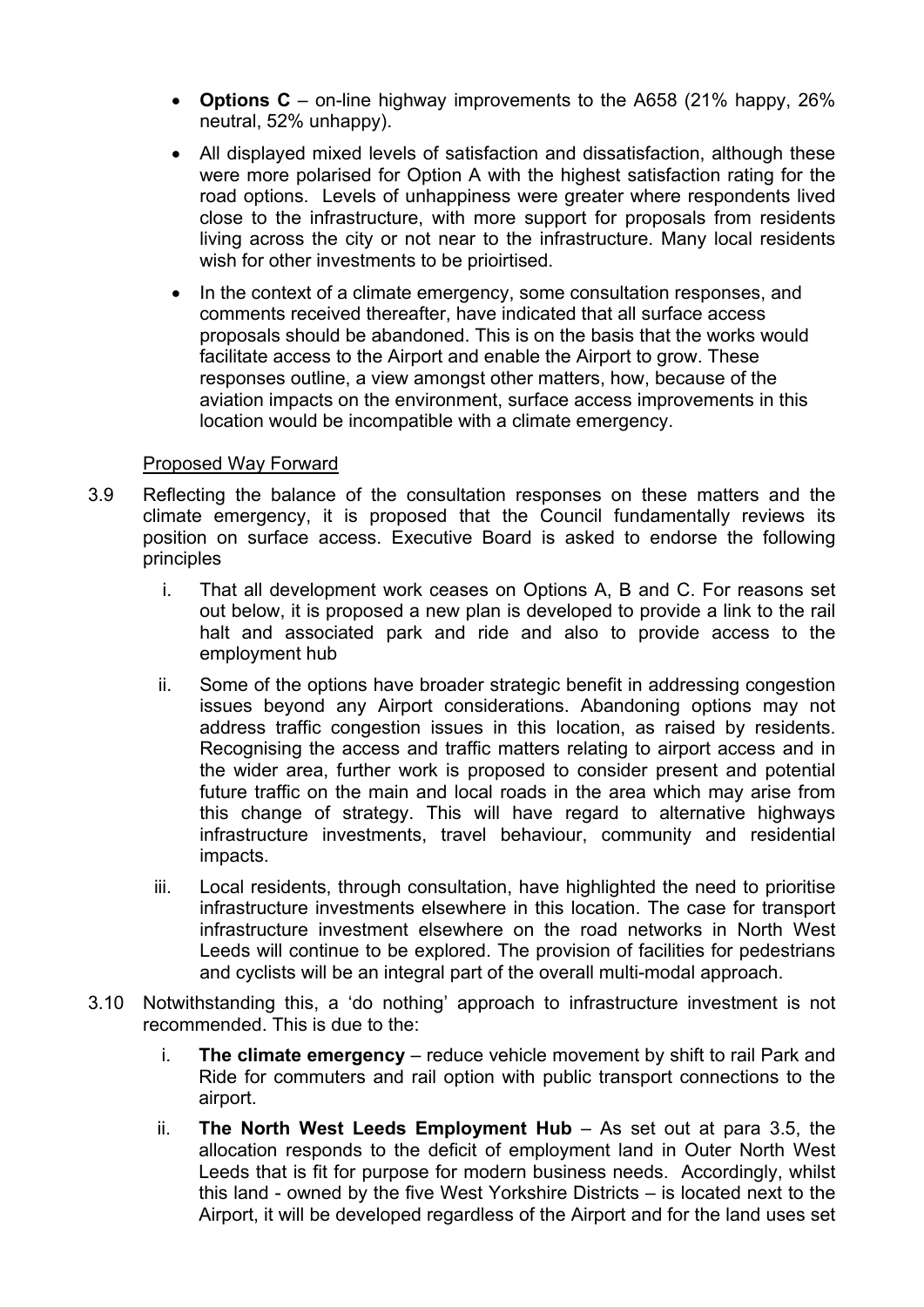- **Options C** on-line highway improvements to the A658 (21% happy, 26% neutral, 52% unhappy).
- All displayed mixed levels of satisfaction and dissatisfaction, although these were more polarised for Option A with the highest satisfaction rating for the road options. Levels of unhappiness were greater where respondents lived close to the infrastructure, with more support for proposals from residents living across the city or not near to the infrastructure. Many local residents wish for other investments to be prioirtised.
- In the context of a climate emergency, some consultation responses, and comments received thereafter, have indicated that all surface access proposals should be abandoned. This is on the basis that the works would facilitate access to the Airport and enable the Airport to grow. These responses outline, a view amongst other matters, how, because of the aviation impacts on the environment, surface access improvements in this location would be incompatible with a climate emergency.

#### Proposed Way Forward

- 3.9 Reflecting the balance of the consultation responses on these matters and the climate emergency, it is proposed that the Council fundamentally reviews its position on surface access. Executive Board is asked to endorse the following principles
	- i. That all development work ceases on Options A, B and C. For reasons set out below, it is proposed a new plan is developed to provide a link to the rail halt and associated park and ride and also to provide access to the employment hub
	- ii. Some of the options have broader strategic benefit in addressing congestion issues beyond any Airport considerations. Abandoning options may not address traffic congestion issues in this location, as raised by residents. Recognising the access and traffic matters relating to airport access and in the wider area, further work is proposed to consider present and potential future traffic on the main and local roads in the area which may arise from this change of strategy. This will have regard to alternative highways infrastructure investments, travel behaviour, community and residential impacts.
	- iii. Local residents, through consultation, have highlighted the need to prioritise infrastructure investments elsewhere in this location. The case for transport infrastructure investment elsewhere on the road networks in North West Leeds will continue to be explored. The provision of facilities for pedestrians and cyclists will be an integral part of the overall multi-modal approach.
- 3.10 Notwithstanding this, a 'do nothing' approach to infrastructure investment is not recommended. This is due to the:
	- i. **The climate emergency** reduce vehicle movement by shift to rail Park and Ride for commuters and rail option with public transport connections to the airport.
	- ii. **The North West Leeds Employment Hub** As set out at para 3.5, the allocation responds to the deficit of employment land in Outer North West Leeds that is fit for purpose for modern business needs. Accordingly, whilst this land - owned by the five West Yorkshire Districts – is located next to the Airport, it will be developed regardless of the Airport and for the land uses set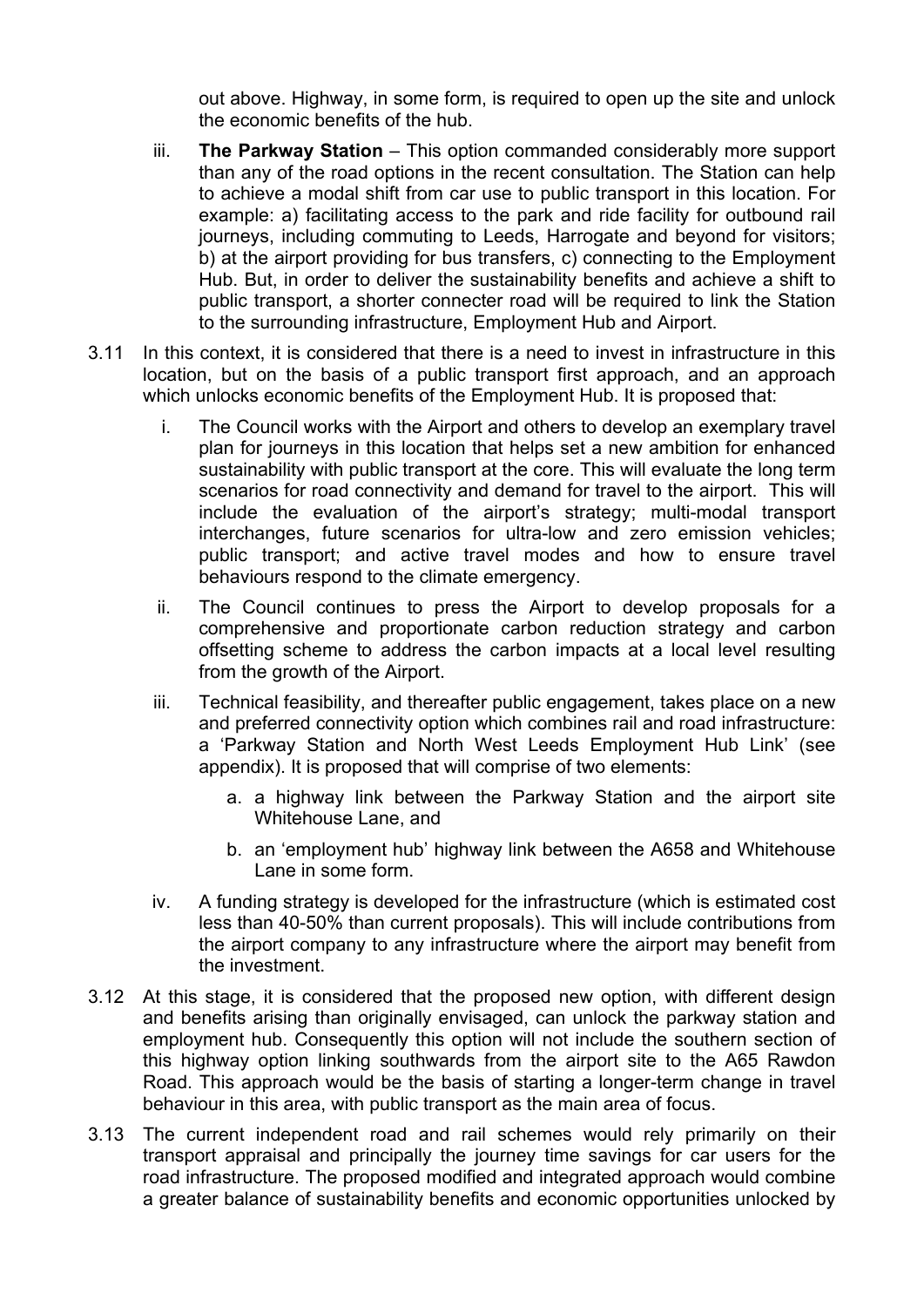out above. Highway, in some form, is required to open up the site and unlock the economic benefits of the hub.

- iii. **The Parkway Station** This option commanded considerably more support than any of the road options in the recent consultation. The Station can help to achieve a modal shift from car use to public transport in this location. For example: a) facilitating access to the park and ride facility for outbound rail journeys, including commuting to Leeds, Harrogate and beyond for visitors; b) at the airport providing for bus transfers, c) connecting to the Employment Hub. But, in order to deliver the sustainability benefits and achieve a shift to public transport, a shorter connecter road will be required to link the Station to the surrounding infrastructure, Employment Hub and Airport.
- 3.11 In this context, it is considered that there is a need to invest in infrastructure in this location, but on the basis of a public transport first approach, and an approach which unlocks economic benefits of the Employment Hub. It is proposed that:
	- i. The Council works with the Airport and others to develop an exemplary travel plan for journeys in this location that helps set a new ambition for enhanced sustainability with public transport at the core. This will evaluate the long term scenarios for road connectivity and demand for travel to the airport. This will include the evaluation of the airport's strategy; multi-modal transport interchanges, future scenarios for ultra-low and zero emission vehicles; public transport; and active travel modes and how to ensure travel behaviours respond to the climate emergency.
	- ii. The Council continues to press the Airport to develop proposals for a comprehensive and proportionate carbon reduction strategy and carbon offsetting scheme to address the carbon impacts at a local level resulting from the growth of the Airport.
	- iii. Technical feasibility, and thereafter public engagement, takes place on a new and preferred connectivity option which combines rail and road infrastructure: a 'Parkway Station and North West Leeds Employment Hub Link' (see appendix). It is proposed that will comprise of two elements:
		- a. a highway link between the Parkway Station and the airport site Whitehouse Lane, and
		- b. an 'employment hub' highway link between the A658 and Whitehouse Lane in some form.
	- iv. A funding strategy is developed for the infrastructure (which is estimated cost less than 40-50% than current proposals). This will include contributions from the airport company to any infrastructure where the airport may benefit from the investment.
- 3.12 At this stage, it is considered that the proposed new option, with different design and benefits arising than originally envisaged, can unlock the parkway station and employment hub. Consequently this option will not include the southern section of this highway option linking southwards from the airport site to the A65 Rawdon Road. This approach would be the basis of starting a longer-term change in travel behaviour in this area, with public transport as the main area of focus.
- 3.13 The current independent road and rail schemes would rely primarily on their transport appraisal and principally the journey time savings for car users for the road infrastructure. The proposed modified and integrated approach would combine a greater balance of sustainability benefits and economic opportunities unlocked by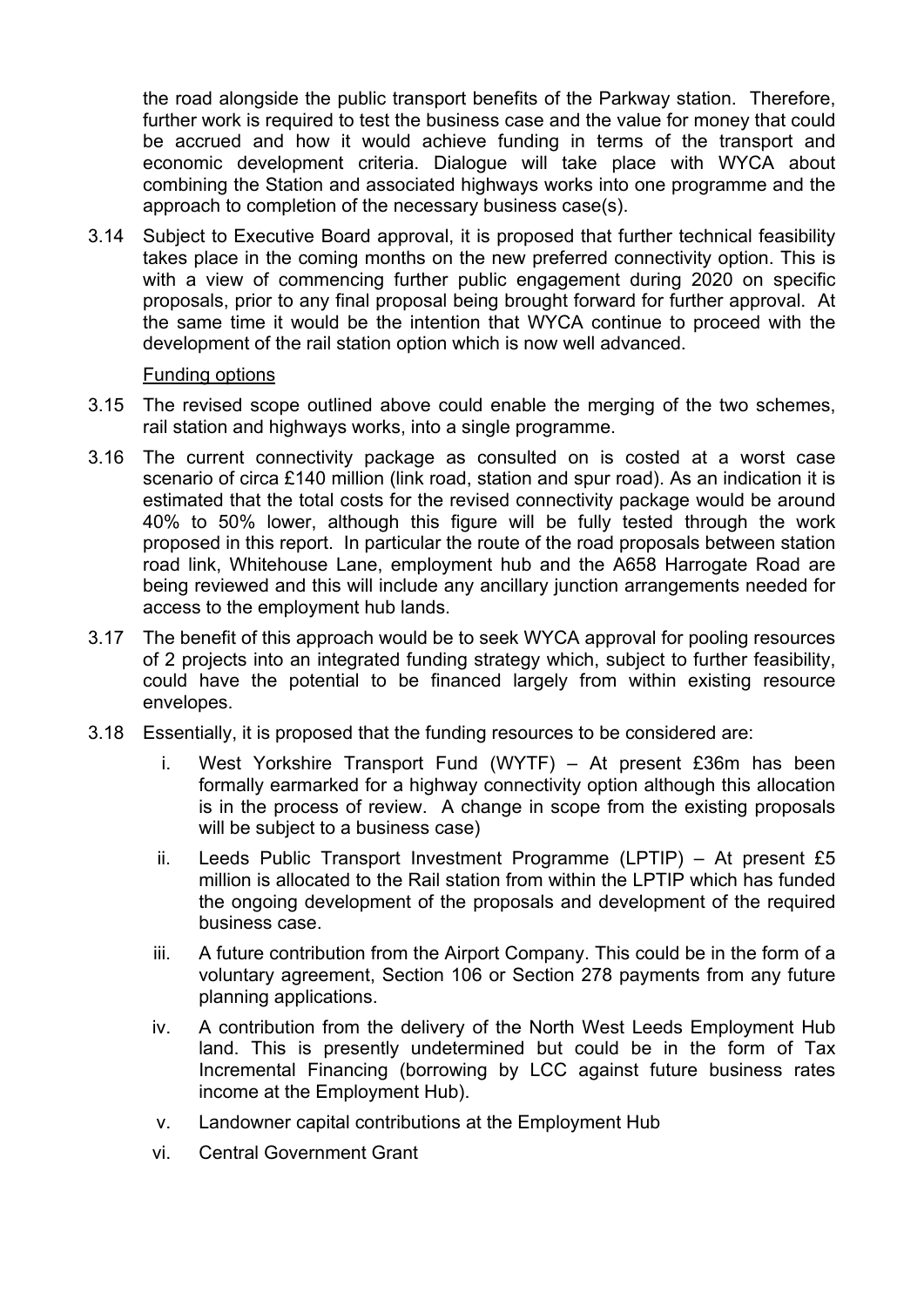the road alongside the public transport benefits of the Parkway station. Therefore, further work is required to test the business case and the value for money that could be accrued and how it would achieve funding in terms of the transport and economic development criteria. Dialogue will take place with WYCA about combining the Station and associated highways works into one programme and the approach to completion of the necessary business case(s).

3.14 Subject to Executive Board approval, it is proposed that further technical feasibility takes place in the coming months on the new preferred connectivity option. This is with a view of commencing further public engagement during 2020 on specific proposals, prior to any final proposal being brought forward for further approval. At the same time it would be the intention that WYCA continue to proceed with the development of the rail station option which is now well advanced.

### Funding options

- 3.15 The revised scope outlined above could enable the merging of the two schemes, rail station and highways works, into a single programme.
- 3.16 The current connectivity package as consulted on is costed at a worst case scenario of circa £140 million (link road, station and spur road). As an indication it is estimated that the total costs for the revised connectivity package would be around 40% to 50% lower, although this figure will be fully tested through the work proposed in this report. In particular the route of the road proposals between station road link, Whitehouse Lane, employment hub and the A658 Harrogate Road are being reviewed and this will include any ancillary junction arrangements needed for access to the employment hub lands.
- 3.17 The benefit of this approach would be to seek WYCA approval for pooling resources of 2 projects into an integrated funding strategy which, subject to further feasibility, could have the potential to be financed largely from within existing resource envelopes.
- 3.18 Essentially, it is proposed that the funding resources to be considered are:
	- i. West Yorkshire Transport Fund (WYTF) At present £36m has been formally earmarked for a highway connectivity option although this allocation is in the process of review. A change in scope from the existing proposals will be subject to a business case)
	- ii. Leeds Public Transport Investment Programme (LPTIP) At present £5 million is allocated to the Rail station from within the LPTIP which has funded the ongoing development of the proposals and development of the required business case.
	- iii. A future contribution from the Airport Company. This could be in the form of a voluntary agreement, Section 106 or Section 278 payments from any future planning applications.
	- iv. A contribution from the delivery of the North West Leeds Employment Hub land. This is presently undetermined but could be in the form of Tax Incremental Financing (borrowing by LCC against future business rates income at the Employment Hub).
	- v. Landowner capital contributions at the Employment Hub
	- vi. Central Government Grant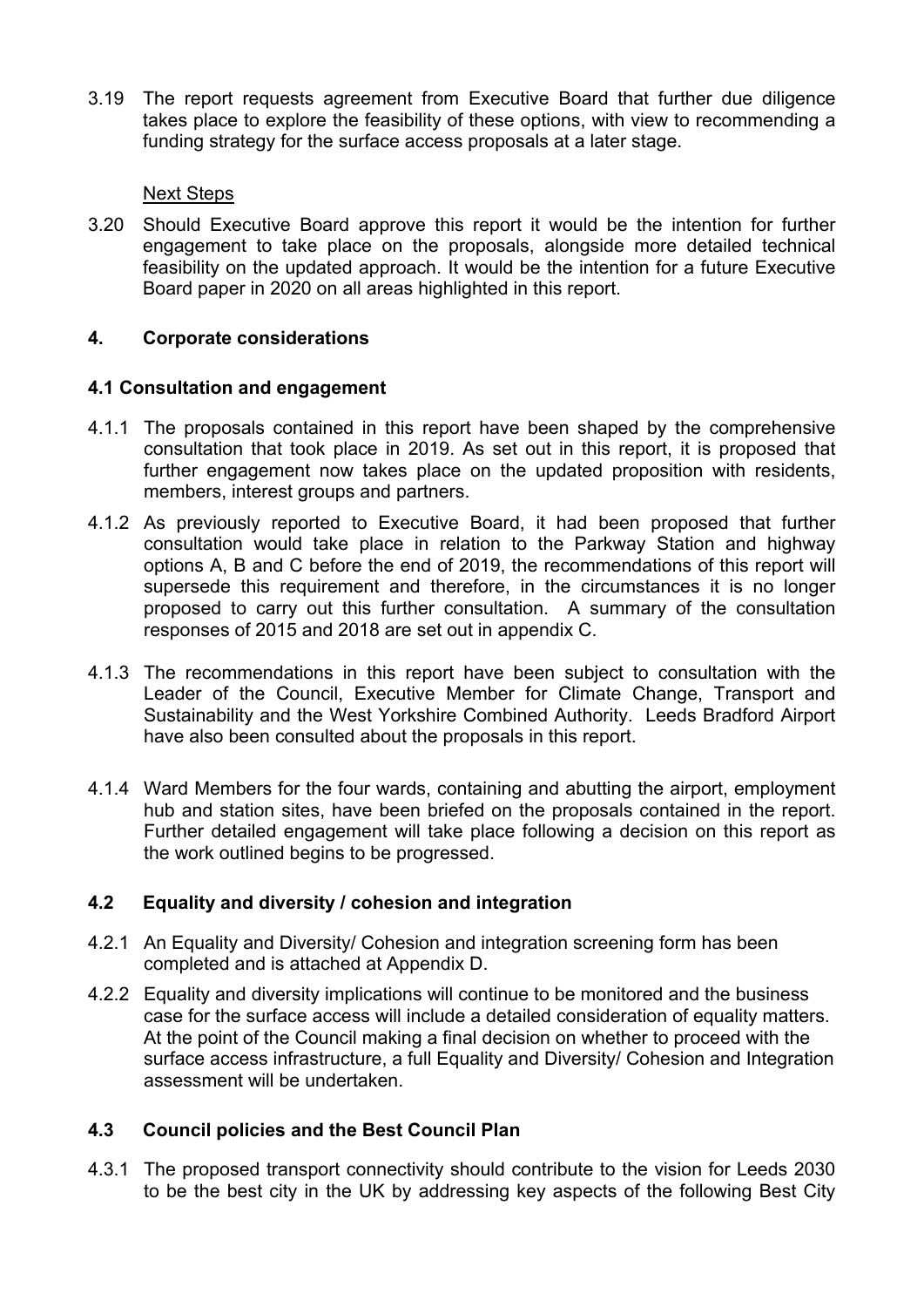3.19 The report requests agreement from Executive Board that further due diligence takes place to explore the feasibility of these options, with view to recommending a funding strategy for the surface access proposals at a later stage.

## Next Steps

3.20 Should Executive Board approve this report it would be the intention for further engagement to take place on the proposals, alongside more detailed technical feasibility on the updated approach. It would be the intention for a future Executive Board paper in 2020 on all areas highlighted in this report.

## **4. Corporate considerations**

## **4.1 Consultation and engagement**

- 4.1.1 The proposals contained in this report have been shaped by the comprehensive consultation that took place in 2019. As set out in this report, it is proposed that further engagement now takes place on the updated proposition with residents, members, interest groups and partners.
- 4.1.2 As previously reported to Executive Board, it had been proposed that further consultation would take place in relation to the Parkway Station and highway options A, B and C before the end of 2019, the recommendations of this report will supersede this requirement and therefore, in the circumstances it is no longer proposed to carry out this further consultation. A summary of the consultation responses of 2015 and 2018 are set out in appendix C.
- 4.1.3 The recommendations in this report have been subject to consultation with the Leader of the Council, Executive Member for Climate Change, Transport and Sustainability and the West Yorkshire Combined Authority. Leeds Bradford Airport have also been consulted about the proposals in this report.
- 4.1.4 Ward Members for the four wards, containing and abutting the airport, employment hub and station sites, have been briefed on the proposals contained in the report. Further detailed engagement will take place following a decision on this report as the work outlined begins to be progressed.

# **4.2 Equality and diversity / cohesion and integration**

- 4.2.1 An Equality and Diversity/ Cohesion and integration screening form has been completed and is attached at Appendix D.
- 4.2.2 Equality and diversity implications will continue to be monitored and the business case for the surface access will include a detailed consideration of equality matters. At the point of the Council making a final decision on whether to proceed with the surface access infrastructure, a full Equality and Diversity/ Cohesion and Integration assessment will be undertaken.

# **4.3 Council policies and the Best Council Plan**

4.3.1 The proposed transport connectivity should contribute to the vision for Leeds 2030 to be the best city in the UK by addressing key aspects of the following Best City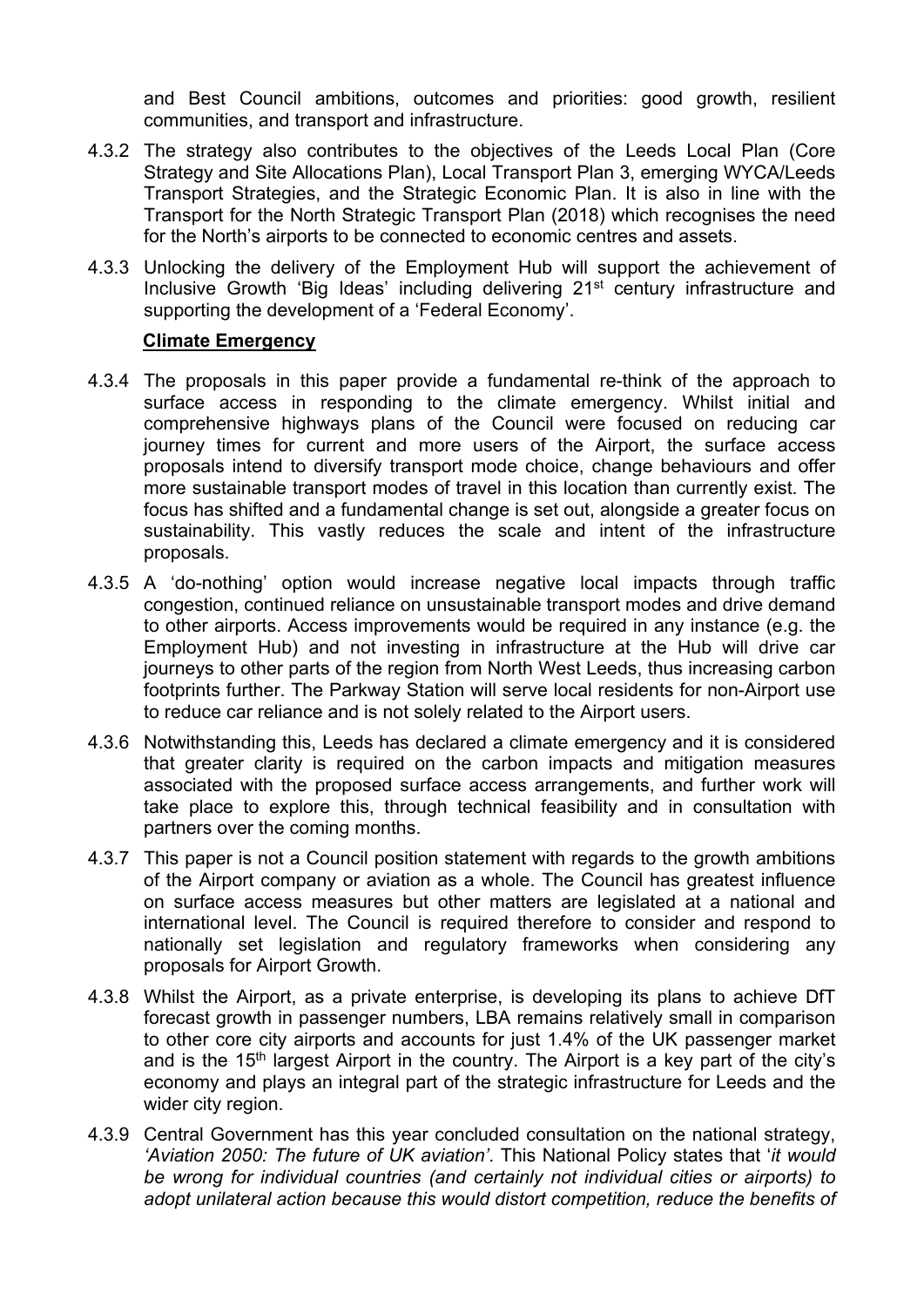and Best Council ambitions, outcomes and priorities: good growth, resilient communities, and transport and infrastructure.

- 4.3.2 The strategy also contributes to the objectives of the Leeds Local Plan (Core Strategy and Site Allocations Plan), Local Transport Plan 3, emerging WYCA/Leeds Transport Strategies, and the Strategic Economic Plan. It is also in line with the Transport for the North Strategic Transport Plan (2018) which recognises the need for the North's airports to be connected to economic centres and assets.
- 4.3.3 Unlocking the delivery of the Employment Hub will support the achievement of Inclusive Growth 'Big Ideas' including delivering 21<sup>st</sup> century infrastructure and supporting the development of a 'Federal Economy'.

#### **Climate Emergency**

- 4.3.4 The proposals in this paper provide a fundamental re-think of the approach to surface access in responding to the climate emergency. Whilst initial and comprehensive highways plans of the Council were focused on reducing car journey times for current and more users of the Airport, the surface access proposals intend to diversify transport mode choice, change behaviours and offer more sustainable transport modes of travel in this location than currently exist. The focus has shifted and a fundamental change is set out, alongside a greater focus on sustainability. This vastly reduces the scale and intent of the infrastructure proposals.
- 4.3.5 A 'do-nothing' option would increase negative local impacts through traffic congestion, continued reliance on unsustainable transport modes and drive demand to other airports. Access improvements would be required in any instance (e.g. the Employment Hub) and not investing in infrastructure at the Hub will drive car journeys to other parts of the region from North West Leeds, thus increasing carbon footprints further. The Parkway Station will serve local residents for non-Airport use to reduce car reliance and is not solely related to the Airport users.
- 4.3.6 Notwithstanding this, Leeds has declared a climate emergency and it is considered that greater clarity is required on the carbon impacts and mitigation measures associated with the proposed surface access arrangements, and further work will take place to explore this, through technical feasibility and in consultation with partners over the coming months.
- 4.3.7 This paper is not a Council position statement with regards to the growth ambitions of the Airport company or aviation as a whole. The Council has greatest influence on surface access measures but other matters are legislated at a national and international level. The Council is required therefore to consider and respond to nationally set legislation and regulatory frameworks when considering any proposals for Airport Growth.
- 4.3.8 Whilst the Airport, as a private enterprise, is developing its plans to achieve DfT forecast growth in passenger numbers, LBA remains relatively small in comparison to other core city airports and accounts for just 1.4% of the UK passenger market and is the 15<sup>th</sup> largest Airport in the country. The Airport is a key part of the city's economy and plays an integral part of the strategic infrastructure for Leeds and the wider city region.
- 4.3.9 Central Government has this year concluded consultation on the national strategy, *'Aviation 2050: The future of UK aviation'*. This National Policy states that '*it would be wrong for individual countries (and certainly not individual cities or airports) to adopt unilateral action because this would distort competition, reduce the benefits of*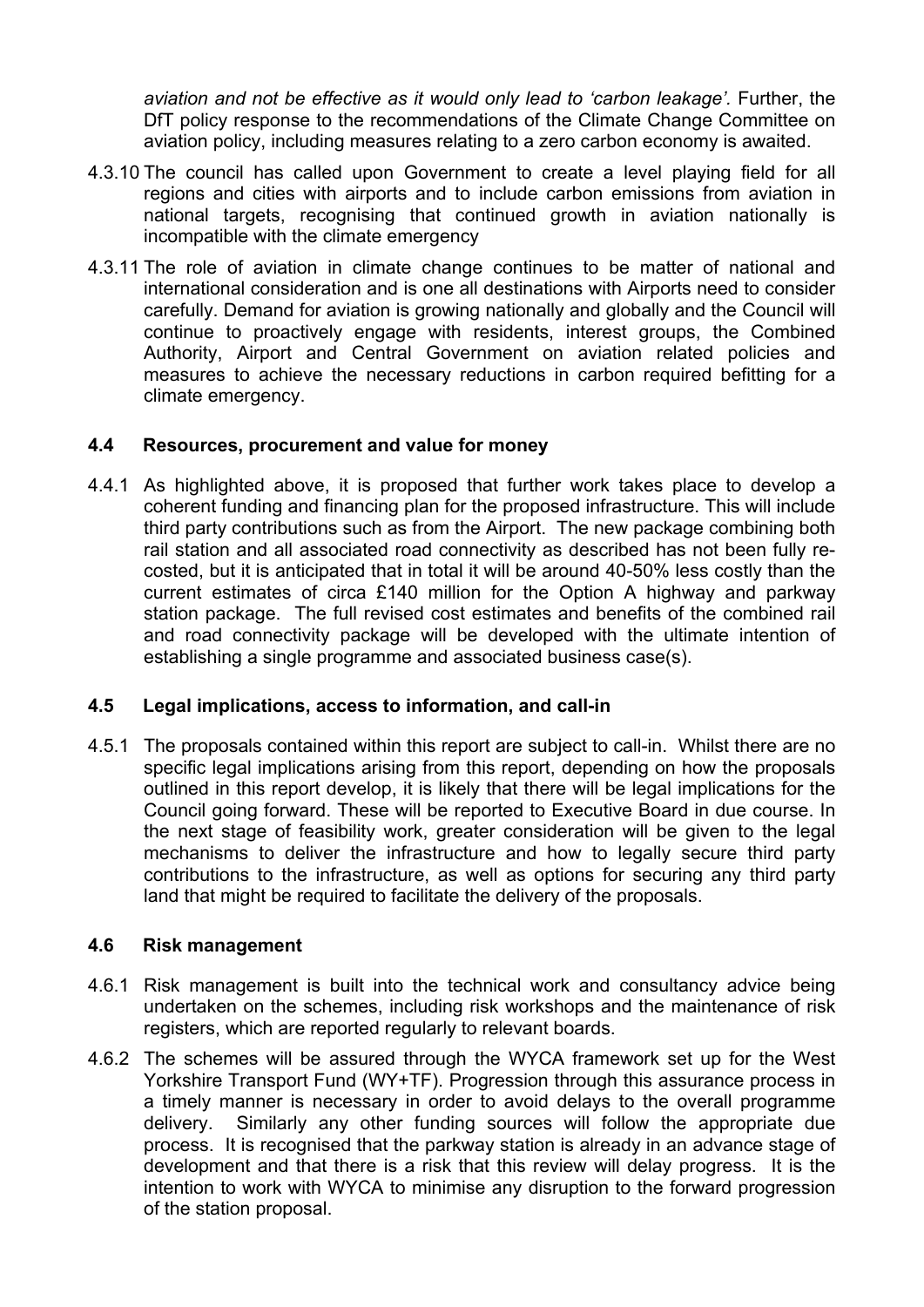aviation and not be effective as it would only lead to 'carbon leakage'. Further, the DfT policy response to the recommendations of the Climate Change Committee on aviation policy, including measures relating to a zero carbon economy is awaited.

- 4.3.10 The council has called upon Government to create a level playing field for all regions and cities with airports and to include carbon emissions from aviation in national targets, recognising that continued growth in aviation nationally is incompatible with the climate emergency
- 4.3.11 The role of aviation in climate change continues to be matter of national and international consideration and is one all destinations with Airports need to consider carefully. Demand for aviation is growing nationally and globally and the Council will continue to proactively engage with residents, interest groups, the Combined Authority, Airport and Central Government on aviation related policies and measures to achieve the necessary reductions in carbon required befitting for a climate emergency.

### **4.4 Resources, procurement and value for money**

4.4.1 As highlighted above, it is proposed that further work takes place to develop a coherent funding and financing plan for the proposed infrastructure. This will include third party contributions such as from the Airport. The new package combining both rail station and all associated road connectivity as described has not been fully recosted, but it is anticipated that in total it will be around 40-50% less costly than the current estimates of circa £140 million for the Option A highway and parkway station package. The full revised cost estimates and benefits of the combined rail and road connectivity package will be developed with the ultimate intention of establishing a single programme and associated business case(s).

### **4.5 Legal implications, access to information, and call-in**

4.5.1 The proposals contained within this report are subject to call-in. Whilst there are no specific legal implications arising from this report, depending on how the proposals outlined in this report develop, it is likely that there will be legal implications for the Council going forward. These will be reported to Executive Board in due course. In the next stage of feasibility work, greater consideration will be given to the legal mechanisms to deliver the infrastructure and how to legally secure third party contributions to the infrastructure, as well as options for securing any third party land that might be required to facilitate the delivery of the proposals.

### **4.6 Risk management**

- 4.6.1 Risk management is built into the technical work and consultancy advice being undertaken on the schemes, including risk workshops and the maintenance of risk registers, which are reported regularly to relevant boards.
- 4.6.2 The schemes will be assured through the WYCA framework set up for the West Yorkshire Transport Fund (WY+TF). Progression through this assurance process in a timely manner is necessary in order to avoid delays to the overall programme delivery. Similarly any other funding sources will follow the appropriate due process. It is recognised that the parkway station is already in an advance stage of development and that there is a risk that this review will delay progress. It is the intention to work with WYCA to minimise any disruption to the forward progression of the station proposal.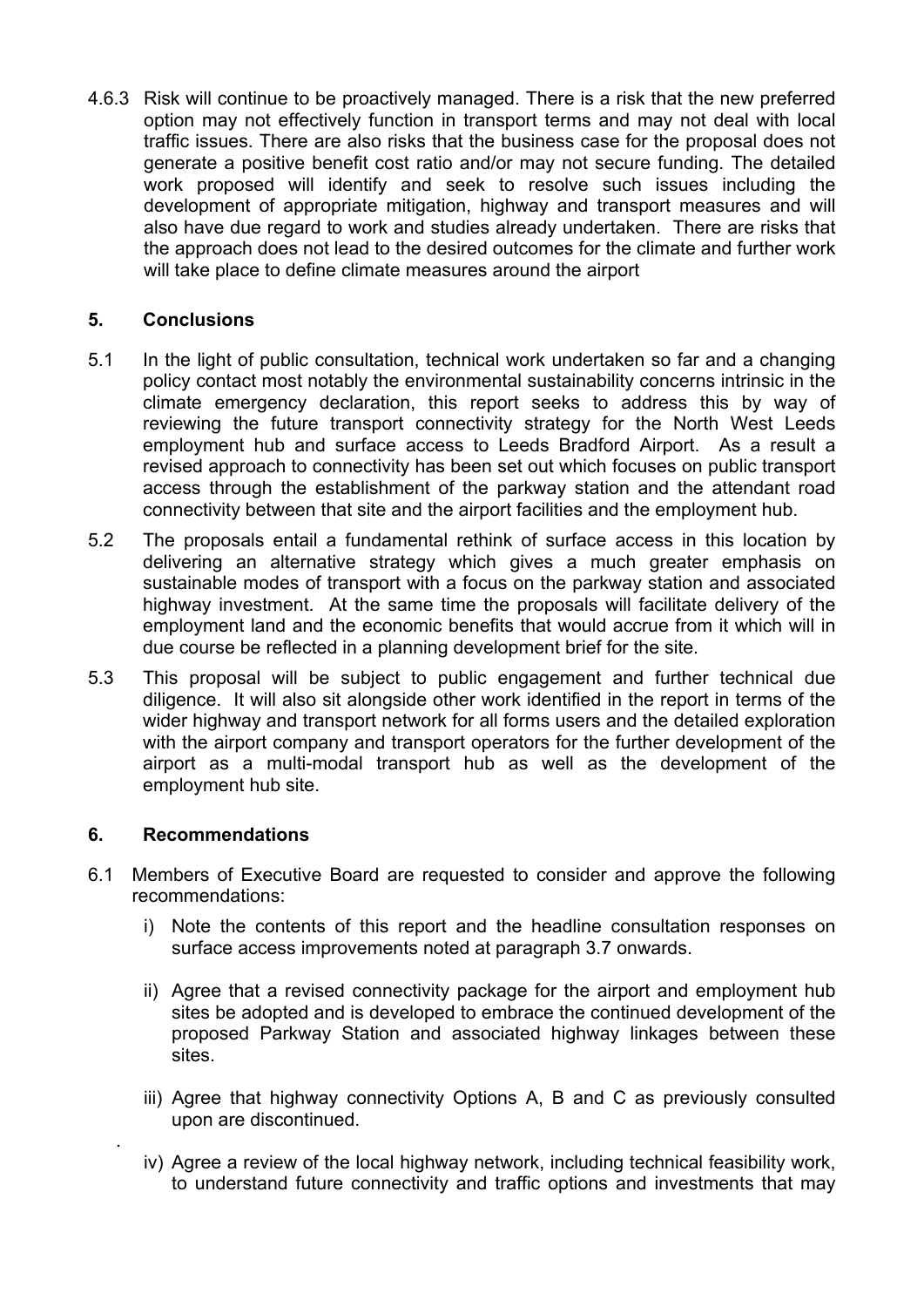4.6.3 Risk will continue to be proactively managed. There is a risk that the new preferred option may not effectively function in transport terms and may not deal with local traffic issues. There are also risks that the business case for the proposal does not generate a positive benefit cost ratio and/or may not secure funding. The detailed work proposed will identify and seek to resolve such issues including the development of appropriate mitigation, highway and transport measures and will also have due regard to work and studies already undertaken. There are risks that the approach does not lead to the desired outcomes for the climate and further work will take place to define climate measures around the airport

## **5. Conclusions**

- 5.1 In the light of public consultation, technical work undertaken so far and a changing policy contact most notably the environmental sustainability concerns intrinsic in the climate emergency declaration, this report seeks to address this by way of reviewing the future transport connectivity strategy for the North West Leeds employment hub and surface access to Leeds Bradford Airport. As a result a revised approach to connectivity has been set out which focuses on public transport access through the establishment of the parkway station and the attendant road connectivity between that site and the airport facilities and the employment hub.
- 5.2 The proposals entail a fundamental rethink of surface access in this location by delivering an alternative strategy which gives a much greater emphasis on sustainable modes of transport with a focus on the parkway station and associated highway investment. At the same time the proposals will facilitate delivery of the employment land and the economic benefits that would accrue from it which will in due course be reflected in a planning development brief for the site.
- 5.3 This proposal will be subject to public engagement and further technical due diligence. It will also sit alongside other work identified in the report in terms of the wider highway and transport network for all forms users and the detailed exploration with the airport company and transport operators for the further development of the airport as a multi-modal transport hub as well as the development of the employment hub site.

### **6. Recommendations**

.

- 6.1 Members of Executive Board are requested to consider and approve the following recommendations:
	- i) Note the contents of this report and the headline consultation responses on surface access improvements noted at paragraph 3.7 onwards.
	- ii) Agree that a revised connectivity package for the airport and employment hub sites be adopted and is developed to embrace the continued development of the proposed Parkway Station and associated highway linkages between these sites.
	- iii) Agree that highway connectivity Options A, B and C as previously consulted upon are discontinued.
	- iv) Agree a review of the local highway network, including technical feasibility work, to understand future connectivity and traffic options and investments that may